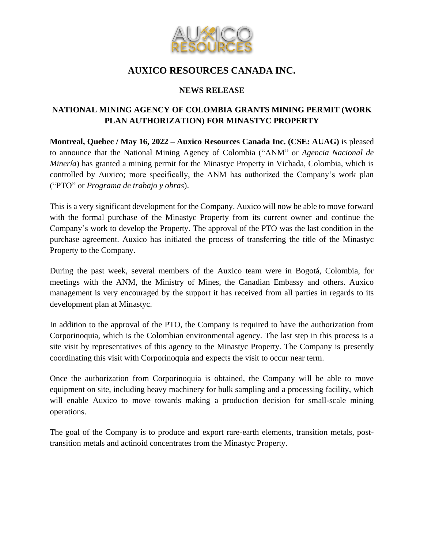

# **AUXICO RESOURCES CANADA INC.**

### **NEWS RELEASE**

## **NATIONAL MINING AGENCY OF COLOMBIA GRANTS MINING PERMIT (WORK PLAN AUTHORIZATION) FOR MINASTYC PROPERTY**

**Montreal, Quebec / May 16, 2022 – Auxico Resources Canada Inc. (CSE: AUAG)** is pleased to announce that the National Mining Agency of Colombia ("ANM" or *Agencia Nacional de Minería*) has granted a mining permit for the Minastyc Property in Vichada, Colombia, which is controlled by Auxico; more specifically, the ANM has authorized the Company's work plan ("PTO" or *Programa de trabajo y obras*).

This is a very significant development for the Company. Auxico will now be able to move forward with the formal purchase of the Minastyc Property from its current owner and continue the Company's work to develop the Property. The approval of the PTO was the last condition in the purchase agreement. Auxico has initiated the process of transferring the title of the Minastyc Property to the Company.

During the past week, several members of the Auxico team were in Bogotá, Colombia, for meetings with the ANM, the Ministry of Mines, the Canadian Embassy and others. Auxico management is very encouraged by the support it has received from all parties in regards to its development plan at Minastyc.

In addition to the approval of the PTO, the Company is required to have the authorization from Corporinoquia, which is the Colombian environmental agency. The last step in this process is a site visit by representatives of this agency to the Minastyc Property. The Company is presently coordinating this visit with Corporinoquia and expects the visit to occur near term.

Once the authorization from Corporinoquia is obtained, the Company will be able to move equipment on site, including heavy machinery for bulk sampling and a processing facility, which will enable Auxico to move towards making a production decision for small-scale mining operations.

The goal of the Company is to produce and export rare-earth elements, transition metals, posttransition metals and actinoid concentrates from the Minastyc Property.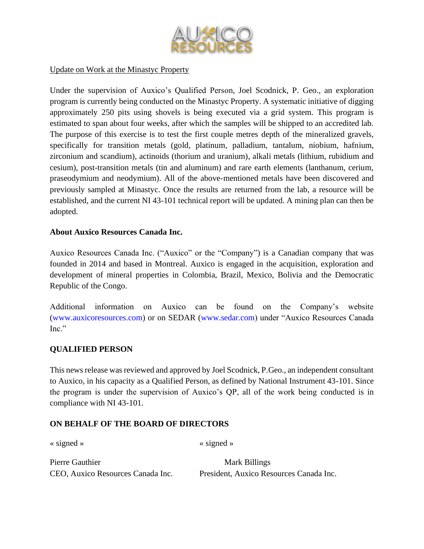

#### Update on Work at the Minastyc Property

Under the supervision of Auxico's Qualified Person, Joel Scodnick, P. Geo., an exploration program is currently being conducted on the Minastyc Property. A systematic initiative of digging approximately 250 pits using shovels is being executed via a grid system. This program is estimated to span about four weeks, after which the samples will be shipped to an accredited lab. The purpose of this exercise is to test the first couple metres depth of the mineralized gravels, specifically for transition metals (gold, platinum, palladium, tantalum, niobium, hafnium, zirconium and scandium), actinoids (thorium and uranium), alkali metals (lithium, rubidium and cesium), post-transition metals (tin and aluminum) and rare earth elements (lanthanum, cerium, praseodymium and neodymium). All of the above-mentioned metals have been discovered and previously sampled at Minastyc. Once the results are returned from the lab, a resource will be established, and the current NI 43-101 technical report will be updated. A mining plan can then be adopted.

#### **About Auxico Resources Canada Inc.**

Auxico Resources Canada Inc. ("Auxico" or the "Company") is a Canadian company that was founded in 2014 and based in Montreal. Auxico is engaged in the acquisition, exploration and development of mineral properties in Colombia, Brazil, Mexico, Bolivia and the Democratic Republic of the Congo.

Additional information on Auxico can be found on the Company's website (www.auxicoresources.com) or on SEDAR (www.sedar.com) under "Auxico Resources Canada Inc."

#### **QUALIFIED PERSON**

This news release was reviewed and approved by Joel Scodnick, P.Geo., an independent consultant to Auxico, in his capacity as a Qualified Person, as defined by National Instrument 43-101. Since the program is under the supervision of Auxico's QP, all of the work being conducted is in compliance with NI 43-101.

#### **ON BEHALF OF THE BOARD OF DIRECTORS**

« signed » « signed »

| Pierre Gauthier                   | Mark Billings                           |
|-----------------------------------|-----------------------------------------|
| CEO, Auxico Resources Canada Inc. | President, Auxico Resources Canada Inc. |